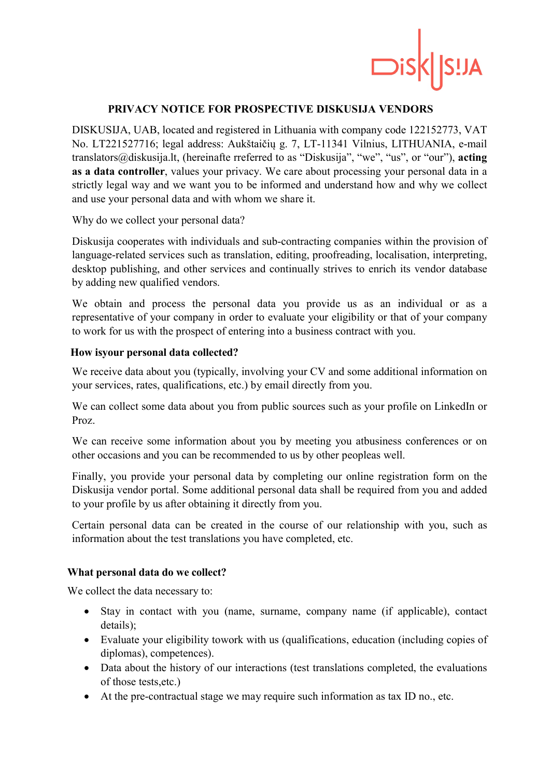

# PRIVACY NOTICE FOR PROSPECTIVE DISKUSIJA VENDORS

DISKUSIJA, UAB, located and registered in Lithuania with company code 122152773, VAT No. LT221527716; legal address: Aukštaičių g. 7, LT-11341 Vilnius, LITHUANIA, e-mail translators@diskusija.lt, (hereinafte rreferred to as "Diskusija", "we", "us", or "our"), acting as a data controller, values your privacy. We care about processing your personal data in a strictly legal way and we want you to be informed and understand how and why we collect and use your personal data and with whom we share it.

Why do we collect your personal data?

Diskusija cooperates with individuals and sub-contracting companies within the provision of language-related services such as translation, editing, proofreading, localisation, interpreting, desktop publishing, and other services and continually strives to enrich its vendor database by adding new qualified vendors.

We obtain and process the personal data you provide us as an individual or as a representative of your company in order to evaluate your eligibility or that of your company to work for us with the prospect of entering into a business contract with you.

## How isyour personal data collected?

We receive data about you (typically, involving your CV and some additional information on your services, rates, qualifications, etc.) by email directly from you.

We can collect some data about you from public sources such as your profile on LinkedIn or Proz.

We can receive some information about you by meeting you atbusiness conferences or on other occasions and you can be recommended to us by other peopleas well.

Finally, you provide your personal data by completing our online registration form on the Diskusija vendor portal. Some additional personal data shall be required from you and added to your profile by us after obtaining it directly from you.

Certain personal data can be created in the course of our relationship with you, such as information about the test translations you have completed, etc.

### What personal data do we collect?

We collect the data necessary to:

- Stay in contact with you (name, surname, company name (if applicable), contact details);
- Evaluate your eligibility towork with us (qualifications, education (including copies of diplomas), competences).
- Data about the history of our interactions (test translations completed, the evaluations of those tests,etc.)
- At the pre-contractual stage we may require such information as tax ID no., etc.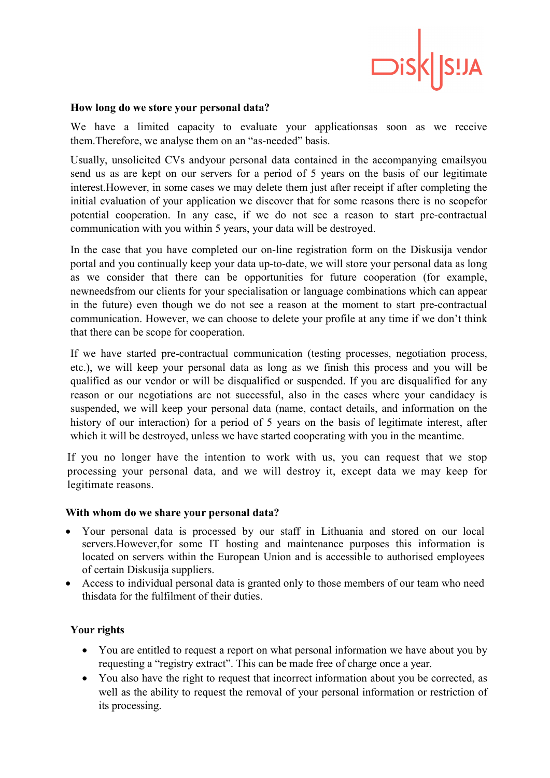

#### How long do we store your personal data?

We have a limited capacity to evaluate your applicationsas soon as we receive them.Therefore, we analyse them on an "as-needed" basis.

Usually, unsolicited CVs andyour personal data contained in the accompanying emailsyou send us as are kept on our servers for a period of 5 years on the basis of our legitimate interest.However, in some cases we may delete them just after receipt if after completing the initial evaluation of your application we discover that for some reasons there is no scopefor potential cooperation. In any case, if we do not see a reason to start pre-contractual communication with you within 5 years, your data will be destroyed.

In the case that you have completed our on-line registration form on the Diskusija vendor portal and you continually keep your data up-to-date, we will store your personal data as long as we consider that there can be opportunities for future cooperation (for example, newneedsfrom our clients for your specialisation or language combinations which can appear in the future) even though we do not see a reason at the moment to start pre-contractual communication. However, we can choose to delete your profile at any time if we don't think that there can be scope for cooperation.

If we have started pre-contractual communication (testing processes, negotiation process, etc.), we will keep your personal data as long as we finish this process and you will be qualified as our vendor or will be disqualified or suspended. If you are disqualified for any reason or our negotiations are not successful, also in the cases where your candidacy is suspended, we will keep your personal data (name, contact details, and information on the history of our interaction) for a period of 5 years on the basis of legitimate interest, after which it will be destroyed, unless we have started cooperating with you in the meantime.

If you no longer have the intention to work with us, you can request that we stop processing your personal data, and we will destroy it, except data we may keep for legitimate reasons.

### With whom do we share your personal data?

- Your personal data is processed by our staff in Lithuania and stored on our local servers.However,for some IT hosting and maintenance purposes this information is located on servers within the European Union and is accessible to authorised employees of certain Diskusija suppliers.
- Access to individual personal data is granted only to those members of our team who need thisdata for the fulfilment of their duties.

# Your rights

- You are entitled to request a report on what personal information we have about you by requesting a "registry extract". This can be made free of charge once a year.
- You also have the right to request that incorrect information about you be corrected, as well as the ability to request the removal of your personal information or restriction of its processing.